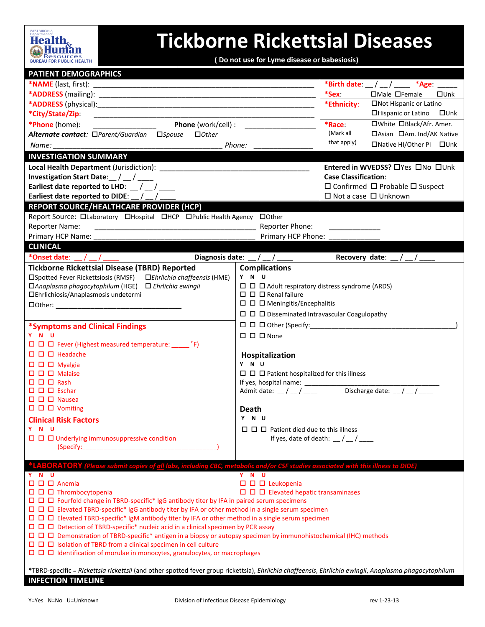

## **Tickborne Rickettsial Diseases**

**( Do not use for Lyme disease or babesiosis)**

| <b>PATIENT DEMOGRAPHICS</b>                                                                                                                                                                                                   |                                                                                                               |                                                 |  |  |
|-------------------------------------------------------------------------------------------------------------------------------------------------------------------------------------------------------------------------------|---------------------------------------------------------------------------------------------------------------|-------------------------------------------------|--|--|
|                                                                                                                                                                                                                               |                                                                                                               | *Birth date: $\_\/\_\/\_\_\$ *Age: $\_\_$       |  |  |
|                                                                                                                                                                                                                               |                                                                                                               | *Sex:<br>□Male □Female<br>$\square$ Unk         |  |  |
|                                                                                                                                                                                                                               |                                                                                                               | *Ethnicity:<br>□Not Hispanic or Latino          |  |  |
| *City/State/Zip:<br><u> 1989 - Johann Harry Harry Harry Harry Harry Harry Harry Harry Harry Harry Harry Harry Harry Harry Harry Harry</u>                                                                                     |                                                                                                               | □Hispanic or Latino □Unk                        |  |  |
| Phone (work/cell) : ____________<br>*Phone (home):<br><u> 1990 - Johann Barbara, martin eta politikar</u>                                                                                                                     |                                                                                                               | □White □Black/Afr. Amer.<br>$*$ Race:           |  |  |
| Alternate contact: □Parent/Guardian □Spouse □Other                                                                                                                                                                            |                                                                                                               | (Mark all<br>□Asian □Am. Ind/AK Native          |  |  |
| Phone:<br>Name: <b>Name</b>                                                                                                                                                                                                   |                                                                                                               | that apply)<br>□Native HI/Other PI □Unk         |  |  |
| <b>INVESTIGATION SUMMARY</b>                                                                                                                                                                                                  |                                                                                                               |                                                 |  |  |
|                                                                                                                                                                                                                               |                                                                                                               | Entered in WVEDSS? □ Yes □ No □ Unk             |  |  |
| Investigation Start Date: / /                                                                                                                                                                                                 |                                                                                                               | <b>Case Classification:</b>                     |  |  |
| Earliest date reported to LHD: $\frac{1}{2}$ / $\frac{1}{2}$                                                                                                                                                                  |                                                                                                               | $\Box$ Confirmed $\Box$ Probable $\Box$ Suspect |  |  |
| Earliest date reported to DIDE: $\_\/\_\$                                                                                                                                                                                     |                                                                                                               | $\Box$ Not a case $\Box$ Unknown                |  |  |
| <b>REPORT SOURCE/HEALTHCARE PROVIDER (HCP)</b>                                                                                                                                                                                |                                                                                                               |                                                 |  |  |
| Report Source: Olaboratory OHospital OHCP OPublic Health Agency OOther                                                                                                                                                        |                                                                                                               |                                                 |  |  |
| <b>Reporter Name:</b><br><u> 1989 - Johann Barn, mars ann an t-Amhain an t-Amhain an t-Amhain an t-Amhain an t-Amhain an t-Amhain an t-Amh</u>                                                                                | Reporter Phone:                                                                                               |                                                 |  |  |
| Primary HCP Name:                                                                                                                                                                                                             | Primary HCP Phone:                                                                                            |                                                 |  |  |
| <b>CLINICAL</b>                                                                                                                                                                                                               |                                                                                                               |                                                 |  |  |
| *Onset date:                                                                                                                                                                                                                  | Diagnosis date: $\angle$ / $\angle$                                                                           | Recovery date: $/$ /                            |  |  |
| <b>Tickborne Rickettsial Disease (TBRD) Reported</b>                                                                                                                                                                          | <b>Complications</b>                                                                                          |                                                 |  |  |
| □Spotted Fever Rickettsiosis (RMSF) □Ehrlichia chaffeensis (HME)                                                                                                                                                              | Y N U                                                                                                         |                                                 |  |  |
| □Anaplasma phagocytophilum (HGE) □ Ehrlichia ewingii                                                                                                                                                                          | $\Box$ $\Box$ $\Box$ Adult respiratory distress syndrome (ARDS)                                               |                                                 |  |  |
| □Ehrlichiosis/Anaplasmosis undetermi                                                                                                                                                                                          | $\Box$ $\Box$ $\Box$ Renal failure                                                                            |                                                 |  |  |
|                                                                                                                                                                                                                               | $\Box$ $\Box$ Meningitis/Encephalitis                                                                         |                                                 |  |  |
|                                                                                                                                                                                                                               | $\Box$ $\Box$ $\Box$ $\Box$ $\Box$ $\Box$ $\Box$ $\Box$                                                       |                                                 |  |  |
| *Symptoms and Clinical Findings                                                                                                                                                                                               |                                                                                                               |                                                 |  |  |
| Y N U                                                                                                                                                                                                                         | $\Box$ $\Box$ $\Box$ None                                                                                     |                                                 |  |  |
| $\Box$ $\Box$ Fever (Highest measured temperature: ______ °F)                                                                                                                                                                 |                                                                                                               |                                                 |  |  |
| $\Box$ $\Box$ Headache                                                                                                                                                                                                        | Hospitalization                                                                                               |                                                 |  |  |
| $\square$ $\square$ $\square$ Myalgia                                                                                                                                                                                         | Y N U                                                                                                         |                                                 |  |  |
| $\Box$ $\Box$ $\Box$ Malaise                                                                                                                                                                                                  | $\Box$ $\Box$ Patient hospitalized for this illness                                                           |                                                 |  |  |
| $\Box$ $\Box$ $\Box$ Rash                                                                                                                                                                                                     | If yes, hospital name: ___________                                                                            |                                                 |  |  |
| $\Box$ $\Box$ Eschar                                                                                                                                                                                                          | Discharge date: $\frac{1}{\sqrt{1-\frac{1}{2}}}$<br>Admit date: $\frac{1}{2}$ / $\frac{1}{2}$ / $\frac{1}{2}$ |                                                 |  |  |
| $\Box$ $\Box$ $\Box$ Nausea                                                                                                                                                                                                   |                                                                                                               |                                                 |  |  |
| $\Box$ $\Box$ Vomiting                                                                                                                                                                                                        | <b>Death</b>                                                                                                  |                                                 |  |  |
| <b>Clinical Risk Factors</b><br>Y N U                                                                                                                                                                                         | Y N U                                                                                                         |                                                 |  |  |
| $\Box$ $\Box$ Underlying immunosuppressive condition                                                                                                                                                                          | $\Box$ $\Box$ Patient died due to this illness<br>If yes, date of death: $\frac{1}{2}$ / $\frac{1}{2}$        |                                                 |  |  |
| (Specify: the contract of the contract of the contract of the contract of the contract of the contract of the contract of the contract of the contract of the contract of the contract of the contract of the contract of the |                                                                                                               |                                                 |  |  |
|                                                                                                                                                                                                                               |                                                                                                               |                                                 |  |  |
| 'LABORATORY (Please submit copies of <u>all</u> labs, including CBC, metabolic and/or CSF studies associated with this illness to DIDE)                                                                                       |                                                                                                               |                                                 |  |  |
| Y N U                                                                                                                                                                                                                         | Y N U                                                                                                         |                                                 |  |  |
| $\Box$ $\Box$ $\Box$ Anemia                                                                                                                                                                                                   | $\square$ $\square$ Leukopenia                                                                                |                                                 |  |  |
| $\Box$ $\Box$ Thrombocytopenia                                                                                                                                                                                                |                                                                                                               |                                                 |  |  |
| $\Box$ $\Box$ Fourfold change in TBRD-specific* IgG antibody titer by IFA in paired serum specimens                                                                                                                           |                                                                                                               |                                                 |  |  |
| $\Box$ $\Box$ Elevated TBRD-specific* IgG antibody titer by IFA or other method in a single serum specimen<br>$\Box$ $\Box$ Elevated TBRD-specific* IgM antibody titer by IFA or other method in a single serum specimen      |                                                                                                               |                                                 |  |  |
|                                                                                                                                                                                                                               |                                                                                                               |                                                 |  |  |
| □ □ □ Demonstration of TBRD-specific* antigen in a biopsy or autopsy specimen by immunohistochemical (IHC) methods                                                                                                            |                                                                                                               |                                                 |  |  |
|                                                                                                                                                                                                                               |                                                                                                               |                                                 |  |  |
|                                                                                                                                                                                                                               |                                                                                                               |                                                 |  |  |
|                                                                                                                                                                                                                               |                                                                                                               |                                                 |  |  |
| *TBRD-specific = Rickettsia rickettsii (and other spotted fever group rickettsia), Ehrlichia chaffeensis, Ehrlichia ewingii, Anaplasma phagocytophilum<br><b>INFECTION TIMELINE</b>                                           |                                                                                                               |                                                 |  |  |